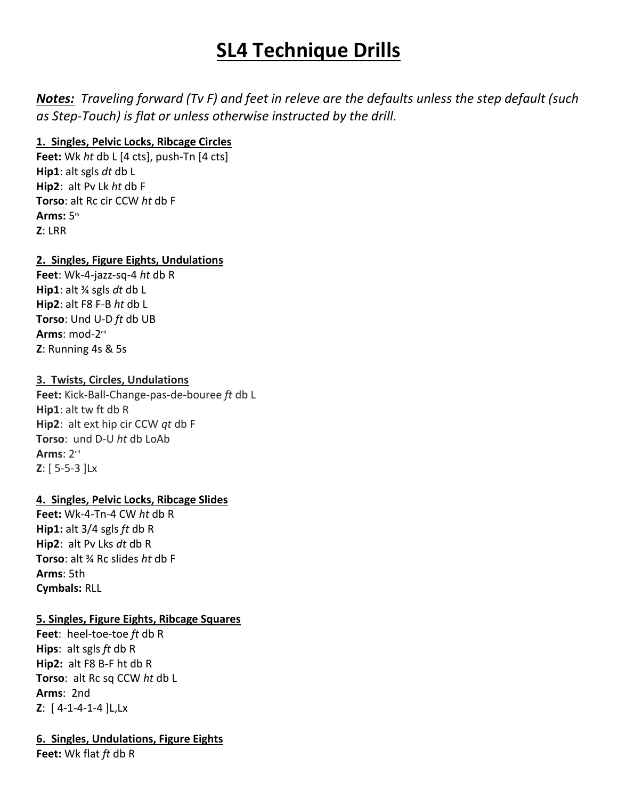# **SL4 Technique Drills**

*Notes: Traveling forward (Tv F) and feet in releve are the defaults unless the step default (such as Step-Touch) is flat or unless otherwise instructed by the drill.* 

# **1. Singles, Pelvic Locks, Ribcage Circles**

**Feet:** Wk *ht* db L [4 cts], push-Tn [4 cts] **Hip1**: alt sgls *dt* db L **Hip2**: alt Pv Lk *ht* db F **Torso**: alt Rc cir CCW *ht* db F **Arms:**  $5$ <sup>th</sup> **Z**: LRR

# **2. Singles, Figure Eights, Undulations**

**Feet**: Wk-4-jazz-sq-4 *ht* db R **Hip1**: alt ¾ sgls *dt* db L **Hip2**: alt F8 F-B *ht* db L **Torso**: Und U-D *ft* db UB **Arms**: mod-2<sup>nd</sup> **Z**: Running 4s & 5s

# **3. Twists, Circles, Undulations**

**Feet:** Kick-Ball-Change-pas-de-bouree *ft* db L **Hip1**: alt tw ft db R **Hip2**: alt ext hip cir CCW *qt* db F **Torso**: und D-U *ht* db LoAb **Arms**: 2nd **Z**: [ 5-5-3 ]Lx

# **4. Singles, Pelvic Locks, Ribcage Slides**

**Feet:** Wk-4-Tn-4 CW *ht* db R **Hip1:** alt 3/4 sgls *ft* db R **Hip2**: alt Pv Lks *dt* db R **Torso**: alt ¾ Rc slides *ht* db F **Arms**: 5th **Cymbals:** RLL

# **5. Singles, Figure Eights, Ribcage Squares**

**Feet**: heel-toe-toe *ft* db R **Hips**: alt sgls *ft* db R **Hip2:** alt F8 B-F ht db R **Torso**: alt Rc sq CCW *ht* db L **Arms**: 2nd **Z**: [ 4-1-4-1-4 ]L,Lx

# **6. Singles, Undulations, Figure Eights**

**Feet:** Wk flat *ft* db R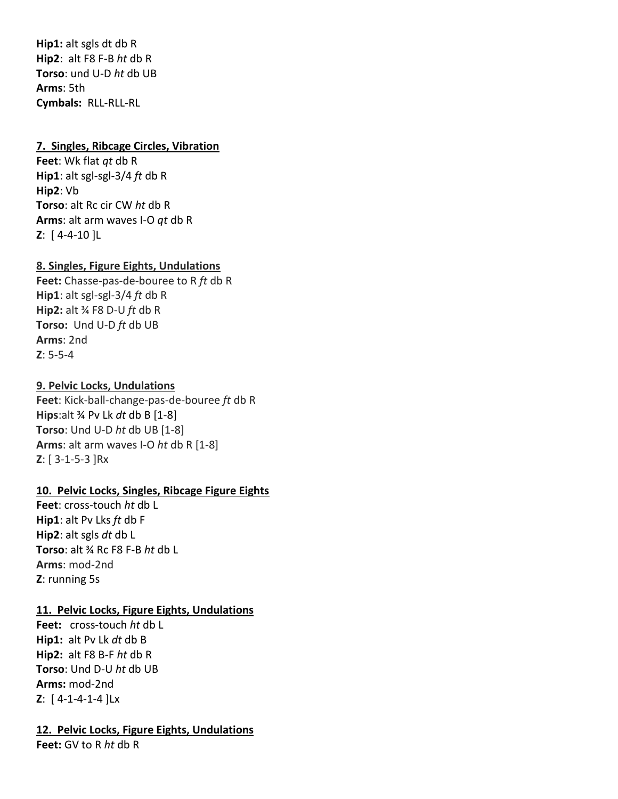**Hip1:** alt sgls dt db R **Hip2**: alt F8 F-B *ht* db R **Torso**: und U-D *ht* db UB **Arms**: 5th **Cymbals:** RLL-RLL-RL

## **7. Singles, Ribcage Circles, Vibration**

**Feet**: Wk flat *qt* db R **Hip1**: alt sgl-sgl-3/4 *ft* db R **Hip2**: Vb **Torso**: alt Rc cir CW *ht* db R **Arms**: alt arm waves I-O *qt* db R **Z**: [ 4-4-10 ]L

## **8. Singles, Figure Eights, Undulations**

**Feet:** Chasse-pas-de-bouree to R *ft* db R **Hip1**: alt sgl-sgl-3/4 *ft* db R **Hip2:** alt ¾ F8 D-U *ft* db R **Torso:** Und U-D *ft* db UB **Arms**: 2nd **Z**: 5-5-4

## **9. Pelvic Locks, Undulations**

**Feet**: Kick-ball-change-pas-de-bouree *ft* db R **Hips**:alt ¾ Pv Lk *dt* db B [1-8] **Torso**: Und U-D *ht* db UB [1-8] **Arms**: alt arm waves I-O *ht* db R [1-8] **Z**: [ 3-1-5-3 ]Rx

#### **10. Pelvic Locks, Singles, Ribcage Figure Eights**

**Feet**: cross-touch *ht* db L **Hip1**: alt Pv Lks *ft* db F **Hip2**: alt sgls *dt* db L **Torso**: alt ¾ Rc F8 F-B *ht* db L **Arms**: mod-2nd **Z**: running 5s

## **11. Pelvic Locks, Figure Eights, Undulations**

**Feet:** cross-touch *ht* db L **Hip1:** alt Pv Lk *dt* db B **Hip2:** alt F8 B-F *ht* db R **Torso**: Und D-U *ht* db UB **Arms:** mod-2nd **Z**: [ 4-1-4-1-4 ]Lx

# **12. Pelvic Locks, Figure Eights, Undulations**

**Feet:** GV to R *ht* db R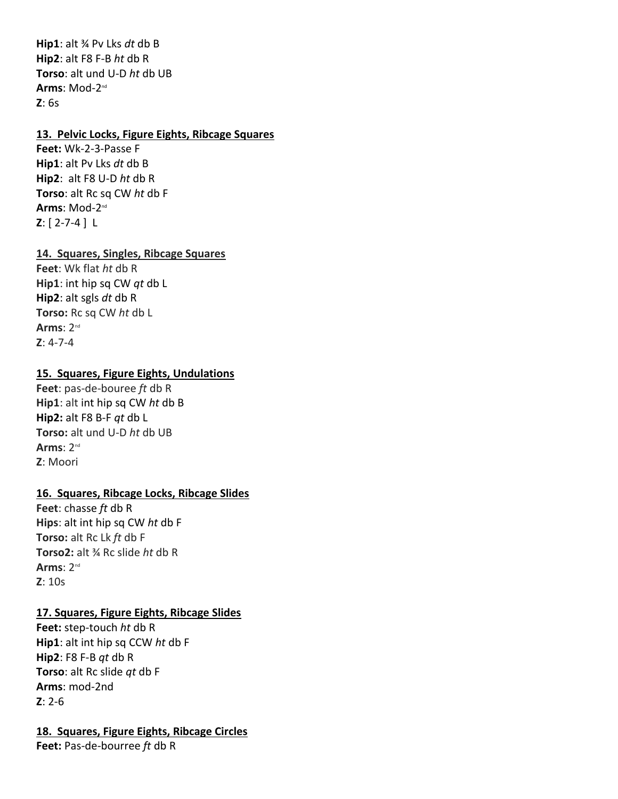**Hip1**: alt ¾ Pv Lks *dt* db B **Hip2**: alt F8 F-B *ht* db R **Torso**: alt und U-D *ht* db UB **Arms**: Mod-2 nd **Z**: 6s

#### **13. Pelvic Locks, Figure Eights, Ribcage Squares**

**Feet:** Wk-2-3-Passe F **Hip1**: alt Pv Lks *dt* db B **Hip2**: alt F8 U-D *ht* db R **Torso**: alt Rc sq CW *ht* db F **Arms**: Mod-2<sup>nd</sup> **Z**: [ 2-7-4 ] L

## **14. Squares, Singles, Ribcage Squares**

**Feet**: Wk flat *ht* db R **Hip1**: int hip sq CW *qt* db L **Hip2**: alt sgls *dt* db R **Torso:** Rc sq CW *ht* db L **Arms**: 2nd **Z**: 4-7-4

## **15. Squares, Figure Eights, Undulations**

**Feet**: pas-de-bouree *ft* db R **Hip1**: alt int hip sq CW *ht* db B **Hip2:** alt F8 B-F *qt* db L **Torso:** alt und U-D *ht* db UB **Arms**: 2nd **Z**: Moori

## **16. Squares, Ribcage Locks, Ribcage Slides**

**Feet**: chasse *ft* db R **Hips**: alt int hip sq CW *ht* db F **Torso:** alt Rc Lk *ft* db F **Torso2:** alt ¾ Rc slide *ht* db R **Arms**: 2nd **Z**: 10s

## **17. Squares, Figure Eights, Ribcage Slides**

**Feet:** step-touch *ht* db R **Hip1**: alt int hip sq CCW *ht* db F **Hip2**: F8 F-B *qt* db R **Torso**: alt Rc slide *qt* db F **Arms**: mod-2nd **Z**: 2-6

## **18. Squares, Figure Eights, Ribcage Circles**

**Feet:** Pas-de-bourree *ft* db R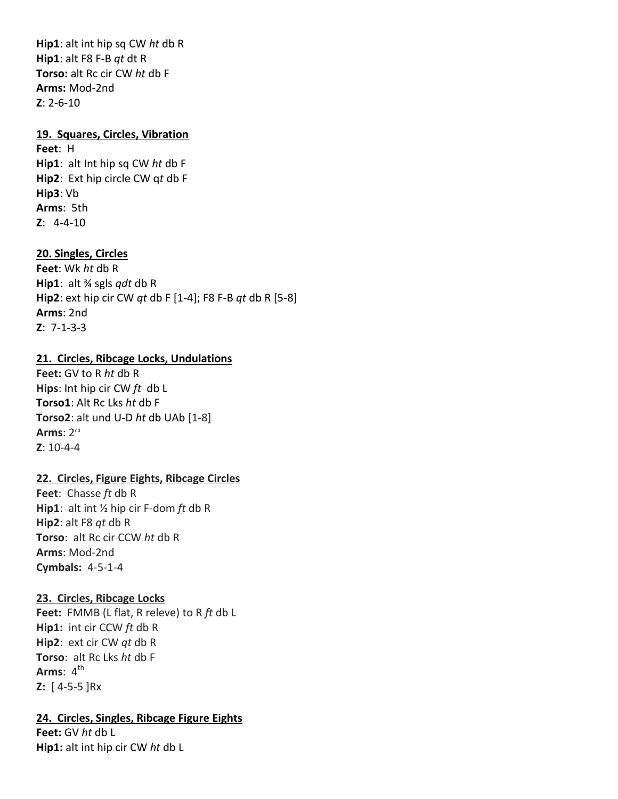**Hip1**: alt int hip sq CW *ht* db R **Hip1**: alt F8 F-B *qt* dt R **Torso:** alt Rc cir CW *ht* db F **Arms:** Mod-2nd **Z**: 2-6-10

### **19. Squares, Circles, Vibration**

**Feet**: H **Hip1**: alt Int hip sq CW *ht* db F **Hip2**: Ext hip circle CW q*t* db F **Hip3**: Vb **Arms**: 5th **Z**: 4-4-10

## **20. Singles, Circles**

**Feet**: Wk *ht* db R **Hip1**: alt ¾ sgls *qdt* db R **Hip2**: ext hip cir CW *qt* db F [1-4]; F8 F-B *qt* db R [5-8] **Arms**: 2nd **Z**: 7-1-3-3

#### **21. Circles, Ribcage Locks, Undulations**

**Feet:** GV to R *ht* db R **Hips**: Int hip cir CW *ft* db L **Torso1**: Alt Rc Lks *ht* db F **Torso2**: alt und U-D *ht* db UAb [1-8] **Arms**: 2nd **Z**: 10-4-4

## **22. Circles, Figure Eights, Ribcage Circles**

**Feet**: Chasse *ft* db R **Hip1**: alt int ½ hip cir F-dom *ft* db R **Hip2**: alt F8 *qt* db R **Torso**: alt Rc cir CCW *ht* db R **Arms**: Mod-2nd **Cymbals:** 4-5-1-4

#### **23. Circles, Ribcage Locks**

**Feet:** FMMB (L flat, R releve) to R *ft* db L **Hip1:** int cir CCW *ft* db R **Hip2**: ext cir CW *qt* db R **Torso**: alt Rc Lks *ht* db F **Arms**: 4<sup>th</sup> **Z:** [ 4-5-5 ]Rx

#### **24. Circles, Singles, Ribcage Figure Eights**

**Feet:** GV *ht* db L **Hip1:** alt int hip cir CW *ht* db L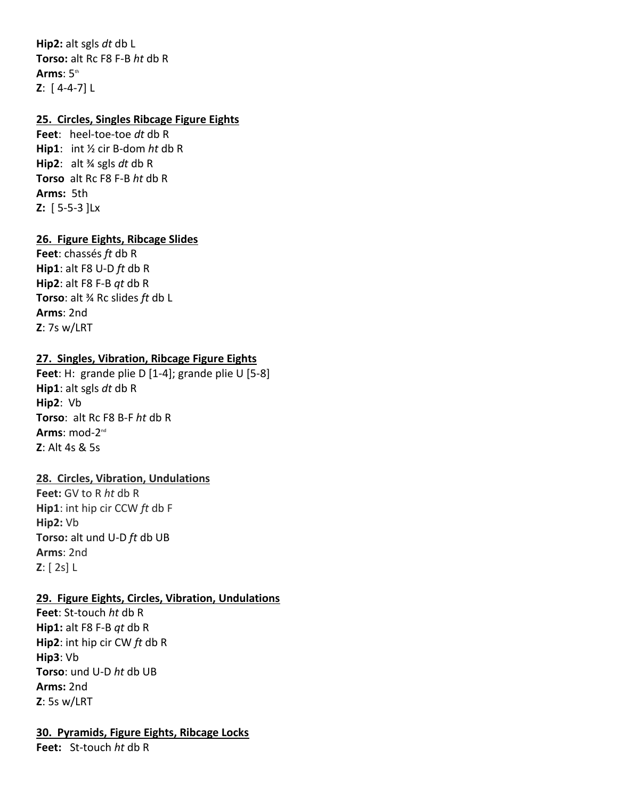**Hip2:** alt sgls *dt* db L **Torso:** alt Rc F8 F-B *ht* db R **Arms**: 5th **Z**: [ 4-4-7] L

## **25. Circles, Singles Ribcage Figure Eights**

**Feet**: heel-toe-toe *dt* db R **Hip1**: int ½ cir B-dom *ht* db R **Hip2**: alt ¾ sgls *dt* db R **Torso** alt Rc F8 F-B *ht* db R **Arms:** 5th **Z:** [ 5-5-3 ]Lx

## **26. Figure Eights, Ribcage Slides**

**Feet**: chassés *ft* db R **Hip1**: alt F8 U-D *ft* db R **Hip2**: alt F8 F-B *qt* db R **Torso**: alt ¾ Rc slides *ft* db L **Arms**: 2nd **Z**: 7s w/LRT

## **27. Singles, Vibration, Ribcage Figure Eights**

**Feet**: H: grande plie D [1-4]; grande plie U [5-8] **Hip1**: alt sgls *dt* db R **Hip2**: Vb **Torso**: alt Rc F8 B-F *ht* db R **Arms**: mod-2<sup>nd</sup> **Z**: Alt 4s & 5s

## **28. Circles, Vibration, Undulations**

**Feet:** GV to R *ht* db R **Hip1**: int hip cir CCW *ft* db F **Hip2:** Vb **Torso:** alt und U-D *ft* db UB **Arms**: 2nd **Z**: [ 2s] L

#### **29. Figure Eights, Circles, Vibration, Undulations**

**Feet**: St-touch *ht* db R **Hip1:** alt F8 F-B *qt* db R **Hip2**: int hip cir CW *ft* db R **Hip3**: Vb **Torso**: und U-D *ht* db UB **Arms:** 2nd **Z**: 5s w/LRT

#### **30. Pyramids, Figure Eights, Ribcage Locks**

**Feet:** St-touch *ht* db R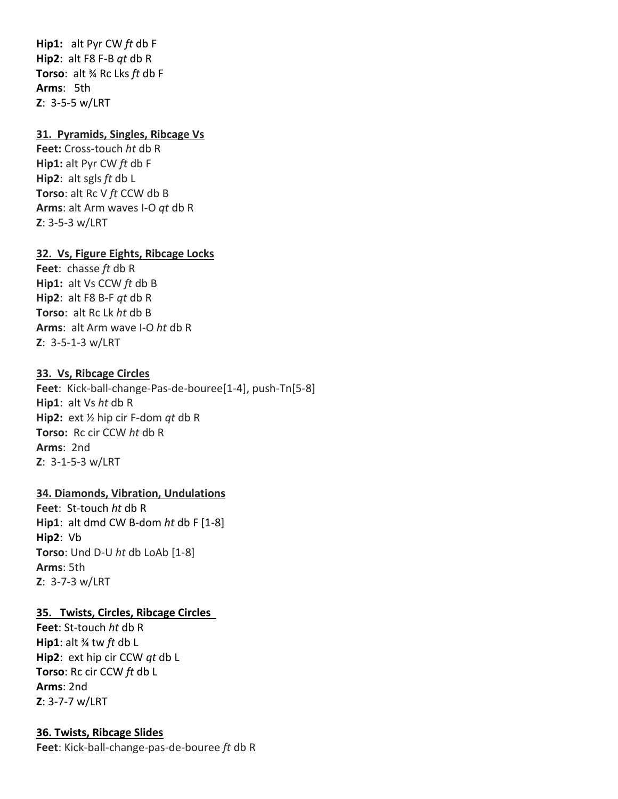**Hip1:** alt Pyr CW *ft* db F **Hip2**: alt F8 F-B *qt* db R **Torso**: alt ¾ Rc Lks *ft* db F **Arms**: 5th **Z**: 3-5-5 w/LRT

## **31. Pyramids, Singles, Ribcage Vs**

**Feet:** Cross-touch *ht* db R **Hip1:** alt Pyr CW *ft* db F **Hip2**: alt sgls *ft* db L **Torso**: alt Rc V *ft* CCW db B **Arms**: alt Arm waves I-O *qt* db R **Z**: 3-5-3 w/LRT

#### **32. Vs, Figure Eights, Ribcage Locks**

**Feet**: chasse *ft* db R **Hip1:** alt Vs CCW *ft* db B **Hip2**: alt F8 B-F *qt* db R **Torso**: alt Rc Lk *ht* db B **Arms**: alt Arm wave I-O *ht* db R **Z**: 3-5-1-3 w/LRT

#### **33. Vs, Ribcage Circles**

**Feet**: Kick-ball-change-Pas-de-bouree[1-4], push-Tn[5-8] **Hip1**: alt Vs *ht* db R **Hip2:** ext ½ hip cir F-dom *qt* db R **Torso:** Rc cir CCW *ht* db R **Arms**: 2nd **Z**: 3-1-5-3 w/LRT

## **34. Diamonds, Vibration, Undulations**

**Feet**: St-touch *ht* db R **Hip1**: alt dmd CW B-dom *ht* db F [1-8] **Hip2**: Vb **Torso**: Und D-U *ht* db LoAb [1-8] **Arms**: 5th **Z**: 3-7-3 w/LRT

#### **35. Twists, Circles, Ribcage Circles**

**Feet**: St-touch *ht* db R **Hip1**: alt ¾ tw *ft* db L **Hip2**: ext hip cir CCW *qt* db L **Torso**: Rc cir CCW *ft* db L **Arms**: 2nd **Z**: 3-7-7 w/LRT

#### **36. Twists, Ribcage Slides**

**Feet**: Kick-ball-change-pas-de-bouree *ft* db R